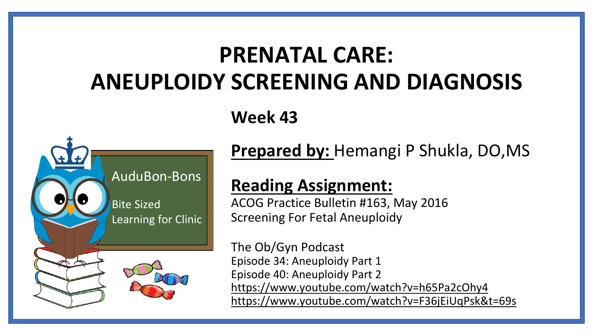# **PRENATAL CARE: ANEUPLOIDY SCREENING AND DIAGNOSIS**

**Week 43**



**Prepared by:** Hemangi P Shukla, DO,MS

## **Reading Assignment:**

ACOG Practice Bulletin #163, May 2016 Screening For Fetal Aneuploidy

The Ob/Gyn Podcast Episode 34: Aneuploidy Part 1 Episode 40: Aneuploidy Part 2 <https://www.youtube.com/watch?v=h65Pa2cOhy4> <https://www.youtube.com/watch?v=F36jEiUqPsk&t=69s>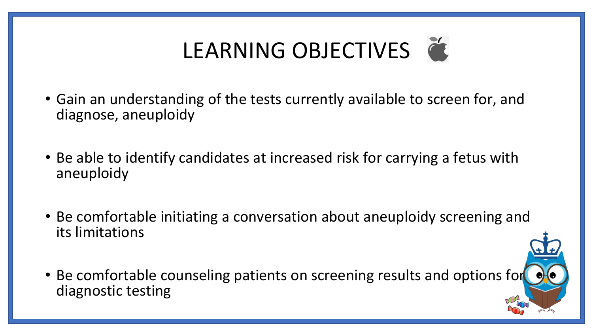# LEARNING OBJECTIVES

- Gain an understanding of the tests currently available to screen for, and diagnose, aneuploidy
- Be able to identify candidates at increased risk for carrying a fetus with aneuploidy
- Be comfortable initiating a conversation about aneuploidy screening and its limitations
- Be comfortable counseling patients on screening results and options for diagnostic testing

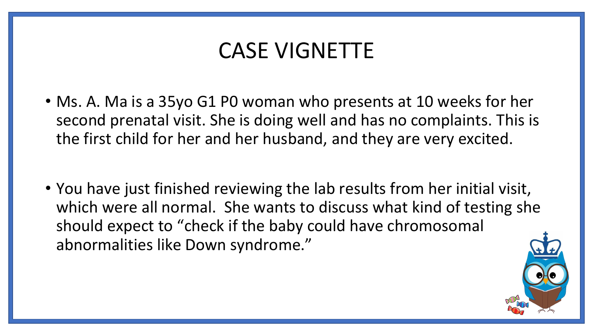# CASE VIGNETTE

- Ms. A. Ma is a 35yo G1 P0 woman who presents at 10 weeks for her second prenatal visit. She is doing well and has no complaints. This is the first child for her and her husband, and they are very excited.
- You have just finished reviewing the lab results from her initial visit, which were all normal. She wants to discuss what kind of testing she should expect to "check if the baby could have chromosomal abnormalities like Down syndrome."

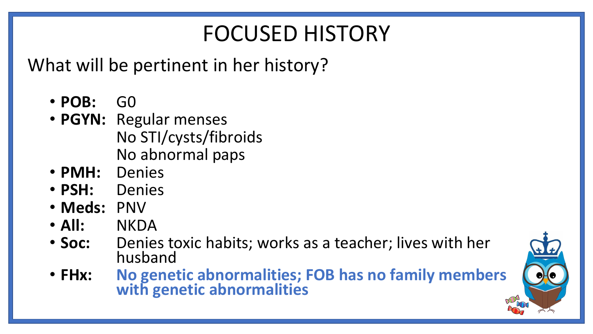# FOCUSED HISTORY

What will be pertinent in her history?

- **POB:** G0
- **PGYN:** Regular menses No STI/cysts/fibroids No abnormal paps
- **PMH:** Denies
- **PSH:** Denies
- **Meds:** PNV
- **All:** NKDA
- **Soc:** Denies toxic habits; works as a teacher; lives with her husband
- **FHx: No genetic abnormalities; FOB has no family members with genetic abnormalities**

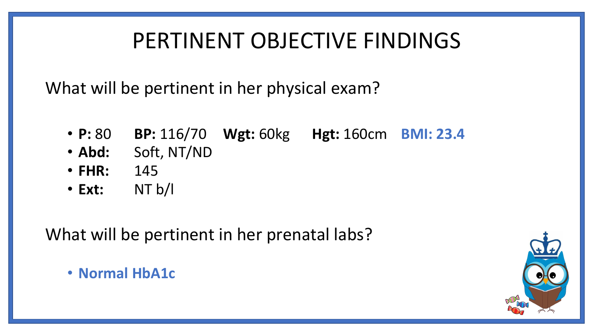# PERTINENT OBJECTIVE FINDINGS

What will be pertinent in her physical exam?

- **P:** 80 **BP:** 116/70 **Wgt:** 60kg **Hgt:** 160cm **BMI: 23.4**
- **Abd:** Soft, NT/ND
- **FHR:** 145
- **Ext:** NT b/l

What will be pertinent in her prenatal labs?

• **Normal HbA1c**

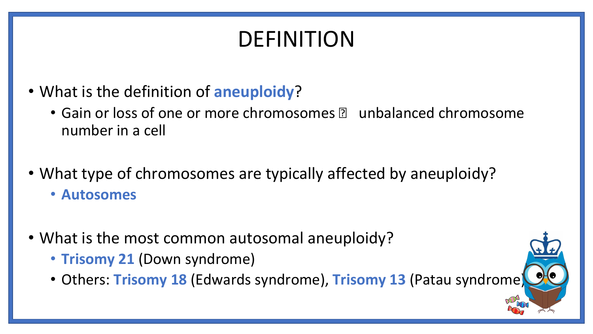# DEFINITION

- What is the definition of **aneuploidy**?
	- Gain or loss of one or more chromosomes **all unbalanced chromosome** number in a cell
- What type of chromosomes are typically affected by aneuploidy?
	- **Autosomes**
- What is the most common autosomal aneuploidy?
	- **Trisomy 21** (Down syndrome)
	- Others: **Trisomy 18** (Edwards syndrome), **Trisomy 13** (Patau syndrome)

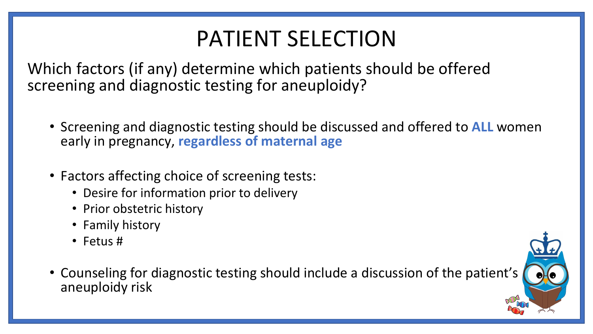# PATIENT SELECTION

Which factors (if any) determine which patients should be offered screening and diagnostic testing for aneuploidy?

- Screening and diagnostic testing should be discussed and offered to **ALL** women early in pregnancy, **regardless of maternal age**
- Factors affecting choice of screening tests:
	- Desire for information prior to delivery
	- Prior obstetric history
	- Family history
	- Fetus #
- Counseling for diagnostic testing should include a discussion of the patient's aneuploidy risk

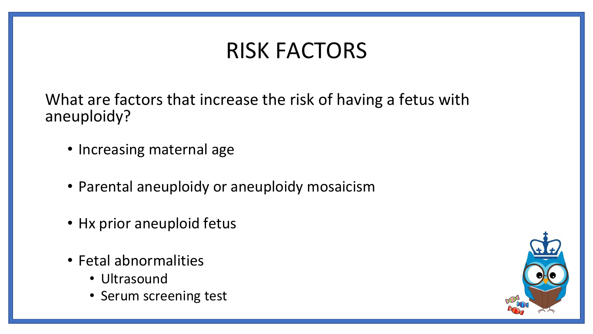# RISK FACTORS

What are factors that increase the risk of having a fetus with aneuploidy?

- Increasing maternal age
- Parental aneuploidy or aneuploidy mosaicism
- Hx prior aneuploid fetus
- Fetal abnormalities
	- Ultrasound
	- Serum screening test

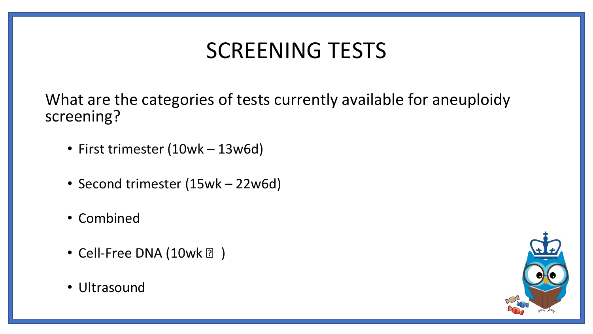# SCREENING TESTS

What are the categories of tests currently available for aneuploidy screening?

- First trimester (10wk 13w6d)
- Second trimester (15wk 22w6d)
- Combined
- Cell-Free DNA  $(10wk \, 2)$
- Ultrasound

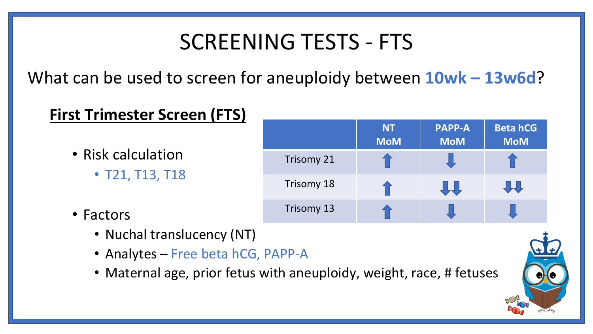# SCREENING TESTS - FTS

What can be used to screen for aneuploidy between **10wk – 13w6d**?

## **First Trimester Screen (FTS)**

- Risk calculation
	- T21, T13, T18
- Factors
	- Nuchal translucency (NT)
	- Analytes Free beta hCG, PAPP-A
	- Maternal age, prior fetus with aneuploidy, weight, race, # fetuses



|                   | <b>NT</b><br><b>MoM</b> | <b>PAPP-A</b><br><b>MoM</b> | <b>Beta hCG</b><br><b>MoM</b> |
|-------------------|-------------------------|-----------------------------|-------------------------------|
| <b>Trisomy 21</b> |                         |                             |                               |
| Trisomy 18        |                         |                             |                               |
| Trisomy 13        |                         |                             |                               |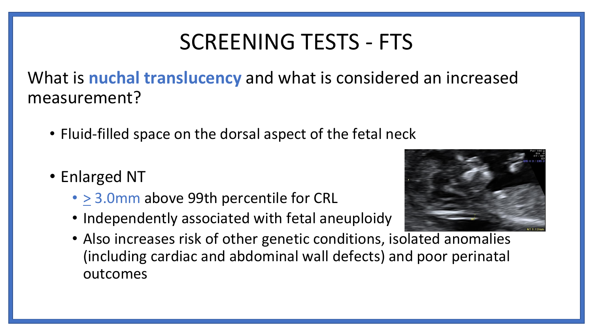# SCREENING TESTS - FTS

What is **nuchal translucency** and what is considered an increased measurement?

- Fluid-filled space on the dorsal aspect of the fetal neck
- Enlarged NT
	- > 3.0mm above 99th percentile for CRL
	- Independently associated with fetal aneuploidy



• Also increases risk of other genetic conditions, isolated anomalies (including cardiac and abdominal wall defects) and poor perinatal outcomes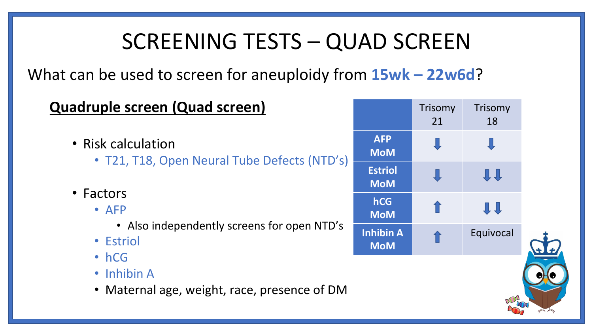# SCREENING TESTS – QUAD SCREEN

What can be used to screen for aneuploidy from **15wk – 22w6d**?

| Quadruple screen (Quad screen)                                             |                                | Trisomy<br>21 | Trisomy<br>18 |  |
|----------------------------------------------------------------------------|--------------------------------|---------------|---------------|--|
| • Risk calculation<br>• T21, T18, Open Neural Tube Defects (NTD's)         | <b>AFP</b><br><b>MoM</b>       |               |               |  |
|                                                                            | <b>Estriol</b><br><b>MoM</b>   |               | <b>JI</b>     |  |
| • Factors<br>$\bullet$ AFP                                                 | hCG<br><b>MoM</b>              |               | 具具            |  |
| • Also independently screens for open NTD's<br>• Estriol                   | <b>Inhibin A</b><br><b>MoM</b> |               | Equivocal     |  |
| $\cdot$ hCG<br>• Inhibin A<br>• Maternal age, weight, race, presence of DM |                                |               |               |  |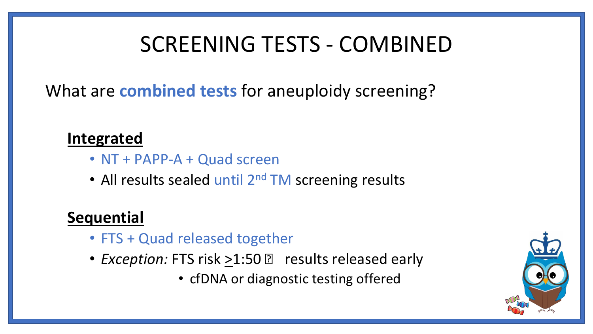# SCREENING TESTS - COMBINED

What are **combined tests** for aneuploidy screening?

## **Integrated**

- NT + PAPP-A + Quad screen
- All results sealed until 2<sup>nd</sup> TM screening results

## **Sequential**

- FTS + Quad released together
- *Exception:* FTS risk >1:50 **n** results released early
	- cfDNA or diagnostic testing offered

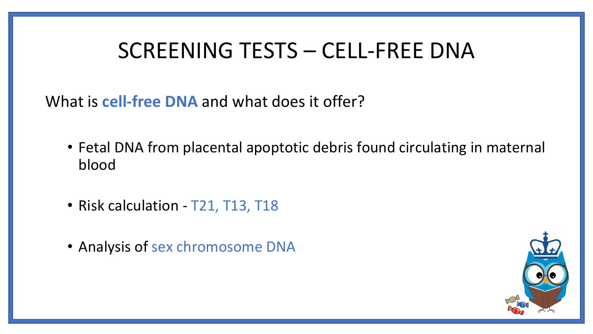# SCREENING TESTS – CELL-FREE DNA

What is **cell-free DNA** and what does it offer?

- Fetal DNA from placental apoptotic debris found circulating in maternal blood
- Risk calculation T21, T13, T18
- Analysis of sex chromosome DNA

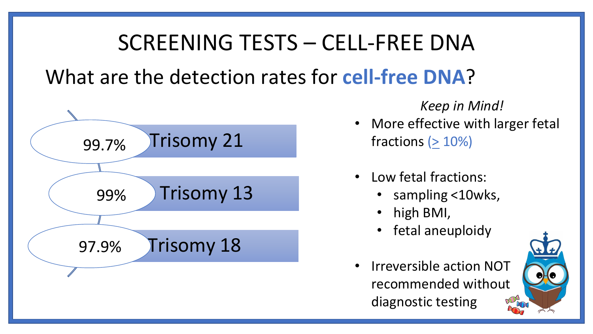# SCREENING TESTS – CELL-FREE DNA What are the detection rates for **cell-free DNA**?



*Keep in Mind!*

- More effective with larger fetal fractions ( $\geq 10\%$ )
- Low fetal fractions:
	- sampling <10wks,
	- high BMI,
	- fetal aneuploidy
- Irreversible action NOT recommended without diagnostic testing

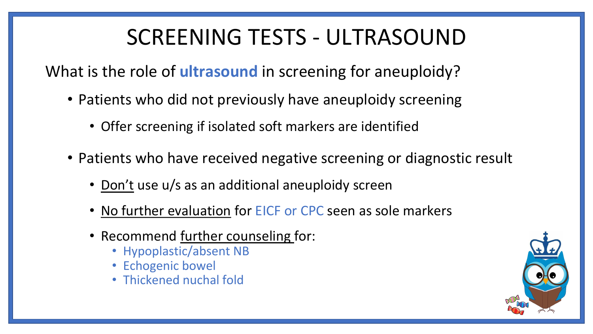# SCREENING TESTS - ULTRASOUND

What is the role of **ultrasound** in screening for aneuploidy?

- Patients who did not previously have aneuploidy screening
	- Offer screening if isolated soft markers are identified
- Patients who have received negative screening or diagnostic result
	- Don't use u/s as an additional aneuploidy screen
	- No further evaluation for EICF or CPC seen as sole markers
	- Recommend further counseling for:
		- Hypoplastic/absent NB
		- Echogenic bowel
		- Thickened nuchal fold

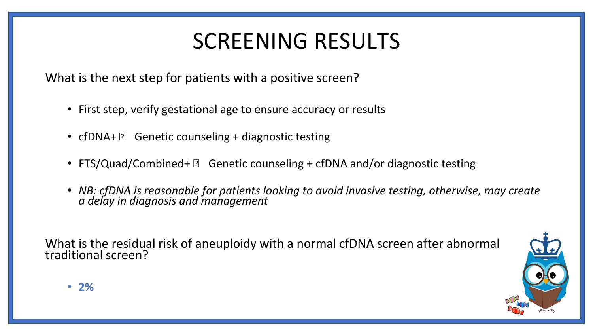# SCREENING RESULTS

What is the next step for patients with a positive screen?

- First step, verify gestational age to ensure accuracy or results
- cfDNA+  $\mathbb{R}$  Genetic counseling + diagnostic testing
- FTS/Quad/Combined+  $\mathbb D$  Genetic counseling + cfDNA and/or diagnostic testing
- *NB: cfDNA is reasonable for patients looking to avoid invasive testing, otherwise, may create a delay in diagnosis and management*

What is the residual risk of aneuploidy with a normal cfDNA screen after abnormal traditional screen?

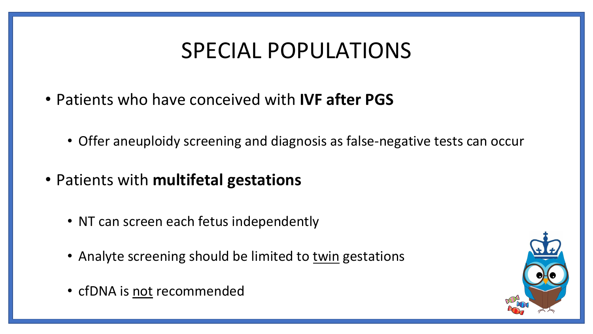# SPECIAL POPULATIONS

- Patients who have conceived with **IVF after PGS**
	- Offer aneuploidy screening and diagnosis as false-negative tests can occur
- Patients with **multifetal gestations**
	- NT can screen each fetus independently
	- Analyte screening should be limited to twin gestations
	- cfDNA is not recommended

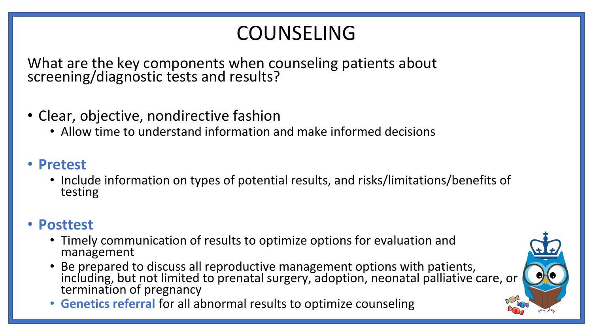## COUNSELING

What are the key components when counseling patients about screening/diagnostic tests and results?

- Clear, objective, nondirective fashion
	- Allow time to understand information and make informed decisions
- **Pretest**
	- Include information on types of potential results, and risks/limitations/benefits of testing

## • **Posttest**

- Timely communication of results to optimize options for evaluation and management
- Be prepared to discuss all reproductive management options with patients, including, but not limited to prenatal surgery, adoption, neonatal palliative care, or termination of pregnancy
- **Genetics referral** for all abnormal results to optimize counseling

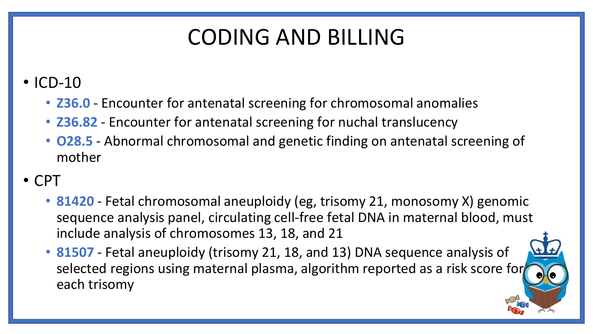# CODING AND BILLING

## • ICD-10

- **Z36.0** Encounter for antenatal screening for chromosomal anomalies
- **Z36.82** Encounter for antenatal screening for nuchal translucency
- **O28.5** Abnormal chromosomal and genetic finding on antenatal screening of mother

## • CPT

- **81420** Fetal chromosomal aneuploidy (eg, trisomy 21, monosomy X) genomic sequence analysis panel, circulating cell-free fetal DNA in maternal blood, must include analysis of chromosomes 13, 18, and 21
- **81507** Fetal aneuploidy (trisomy 21, 18, and 13) DNA sequence analysis of selected regions using maternal plasma, algorithm reported as a risk score for each trisomy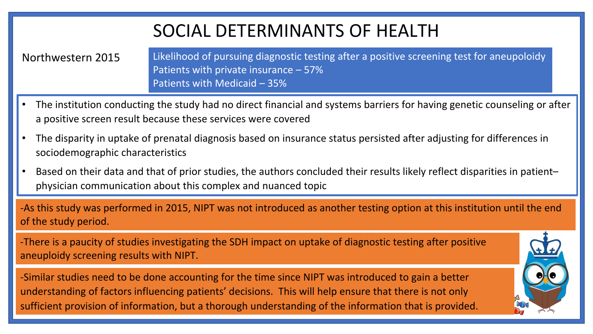## SOCIAL DETERMINANTS OF HEALTH

Northwestern 2015 Likelihood of pursuing diagnostic testing after a positive screening test for aneupoloidy Patients with private insurance – 57% Patients with Medicaid – 35%

- The institution conducting the study had no direct financial and systems barriers for having genetic counseling or after a positive screen result because these services were covered
- The disparity in uptake of prenatal diagnosis based on insurance status persisted after adjusting for differences in sociodemographic characteristics
- Based on their data and that of prior studies, the authors concluded their results likely reflect disparities in patient– physician communication about this complex and nuanced topic

-As this study was performed in 2015, NIPT was not introduced as another testing option at this institution until the end of the study period.

-There is a paucity of studies investigating the SDH impact on uptake of diagnostic testing after positive aneuploidy screening results with NIPT.

-Similar studies need to be done accounting for the time since NIPT was introduced to gain a better understanding of factors influencing patients' decisions. This will help ensure that there is not only sufficient provision of information, but a thorough understanding of the information that is provided.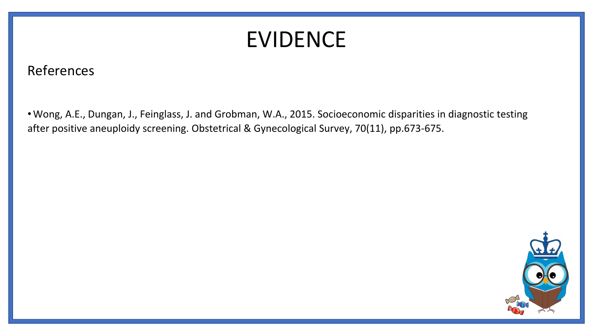# EVIDENCE

### References

• Wong, A.E., Dungan, J., Feinglass, J. and Grobman, W.A., 2015. Socioeconomic disparities in diagnostic testing after positive aneuploidy screening. Obstetrical & Gynecological Survey, 70(11), pp.673-675.

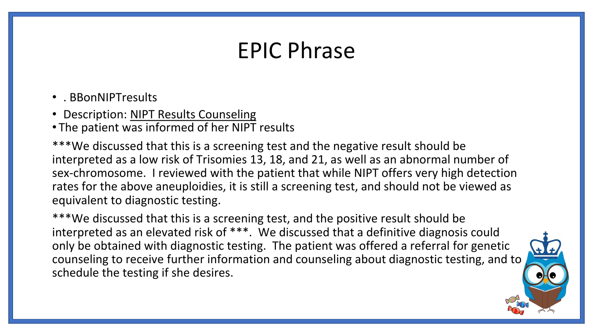# EPIC Phrase

- . BBonNIPTresults
- Description: NIPT Results Counseling
- The patient was informed of her NIPT results

\*\*\*We discussed that this is a screening test and the negative result should be interpreted as a low risk of Trisomies 13, 18, and 21, as well as an abnormal number of sex-chromosome. I reviewed with the patient that while NIPT offers very high detection rates for the above aneuploidies, it is still a screening test, and should not be viewed as equivalent to diagnostic testing.

\*\*\*We discussed that this is a screening test, and the positive result should be interpreted as an elevated risk of \*\*\*. We discussed that a definitive diagnosis could only be obtained with diagnostic testing. The patient was offered a referral for genetic counseling to receive further information and counseling about diagnostic testing, and to schedule the testing if she desires.